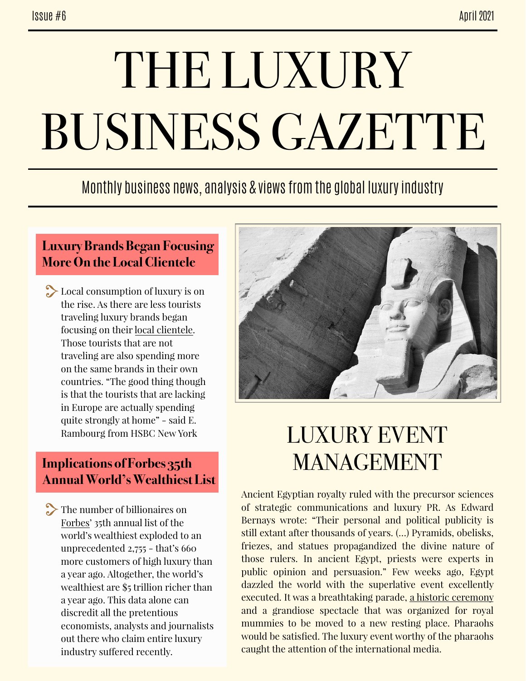# THE LUXURY BUSINESS GAZETTE

### Monthly business news, analysis & views from the global luxury industry

#### **Luxury Brands Began Focusing More On the Local Clientele**

 $\sum$  Local consumption of luxury is on the rise. As there are less tourists traveling luxury brands began focusing on their [local clientele.](https://www.yahoo.com/lifestyle/one-luxury-lavishes-attention-locals-040113053.html) Those tourists that are not traveling are also spending more on the same brands in their own countries. "The good thing though is that the tourists that are lacking in Europe are actually spending quite strongly at home" - said E. Rambourg from HSBC New York

#### **Implications of Forbes 35th Annual World's Wealthiest List**

The number of billionaires on [Forbes'](https://www.forbes.com/billionaires/) 35th annual list of the world's wealthiest exploded to an unprecedented 2,755 - that's 660 more customers of high luxury than a year ago. Altogether, the world's wealthiest are \$5 trillion richer than a year ago. This data alone can discredit all the pretentious economists, analysts and journalists out there who claim entire luxury industry sufered recently.



## LUXURY EVENT MANAGEMENT

Ancient Egyptian royalty ruled with the precursor sciences of strategic communications and luxury PR. As Edward Bernays wrote: "Their personal and political publicity is still extant after thousands of years. (…) Pyramids, obelisks, friezes, and statues propagandized the divine nature of those rulers. In ancient Egypt, priests were experts in public opinion and persuasion." Few weeks ago, Egypt dazzled the world with the superlative event excellently executed. It was a breathtaking parade, [a historic ceremony](https://twitter.com/i/status/1378441152764989442) and a grandiose spectacle that was organized for royal mummies to be moved to a new resting place. Pharaohs would be satisfied. The luxury event worthy of the pharaohs caught the attention of the international media.